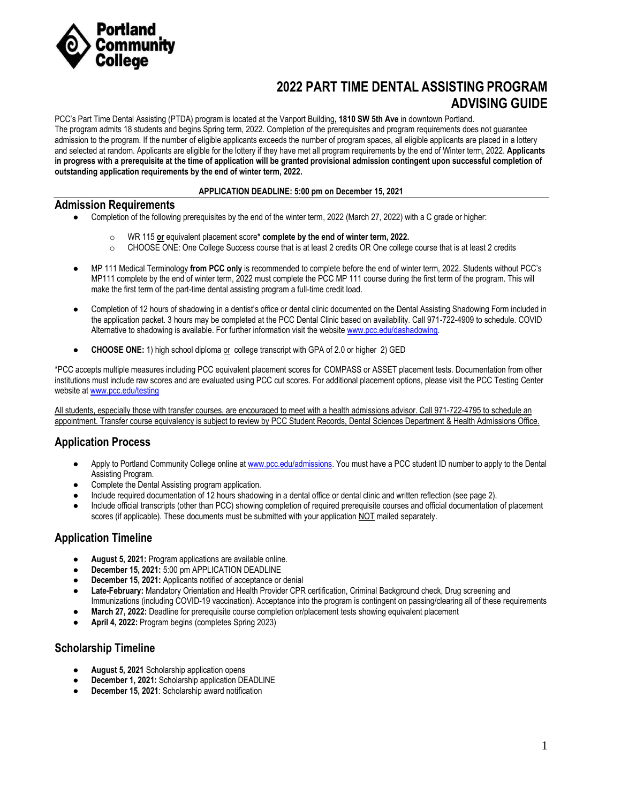

# **2022 PART TIME DENTAL ASSISTING PROGRAM ADVISING GUIDE**

PCC's Part Time Dental Assisting (PTDA) program is located at the Vanport Building**, 1810 SW 5th Ave** in downtown Portland. The program admits 18 students and begins Spring term, 2022. Completion of the prerequisites and program requirements does not guarantee admission to the program. If the number of eligible applicants exceeds the number of program spaces, all eligible applicants are placed in a lottery and selected at random. Applicants are eligible for the lottery if they have met all program requirements by the end of Winter term, 2022. **Applicants in progress with a prerequisite at the time of application will be granted provisional admission contingent upon successful completion of outstanding application requirements by the end of winter term, 2022.**

#### **APPLICATION DEADLINE: 5:00 pm on December 15, 2021**

### **Admission Requirements**

- Completion of the following prerequisites by the end of the winter term, 2022 (March 27, 2022) with a C grade or higher:
	- o WR 115 **or** equivalent placement score**\* complete by the end of winter term, 2022.**
	- o CHOOSE ONE: One College Success course that is at least 2 credits OR One college course that is at least 2 credits
- MP 111 Medical Terminology **from PCC only** is recommended to complete before the end of winter term, 2022. Students without PCC's MP111 complete by the end of winter term, 2022 must complete the PCC MP 111 course during the first term of the program. This will make the first term of the part-time dental assisting program a full-time credit load.
- Completion of 12 hours of shadowing in a dentist's office or dental clinic documented on the Dental Assisting Shadowing Form included in the application packet. 3 hours may be completed at the PCC Dental Clinic based on availability. Call 971-722-4909 to schedule. COVID Alternative to shadowing is available. For further information visit the websit[e www.pcc.edu/dashadowing.](https://www.pcc.edu/programs/dental-assisting/apply/alternative-shadowing/)
- **CHOOSE ONE:** 1) high school diploma or college transcript with GPA of 2.0 or higher 2) GED

\*PCC accepts multiple measures including PCC equivalent placement scores for COMPASS or ASSET placement tests. Documentation from other institutions must include raw scores and are evaluated using PCC cut scores. For additional placement options, please visit the PCC Testing Center website a[t www.pcc.edu/testing](http://www.pcc.edu/testing)

All students, especially those with transfer courses, are encouraged to meet with a health admissions advisor. Call 971-722-4795 to schedule an appointment. Transfer course equivalency is subject to review by PCC Student Records, Dental Sciences Department & Health Admissions Office.

## **Application Process**

- Apply to Portland Community College online a[t www.pcc.edu/admissions.](http://www.pcc.edu/admissions) You must have a PCC student ID number to apply to the Dental Assisting Program.
- Complete the Dental Assisting program application.
- Include required documentation of 12 hours shadowing in a dental office or dental clinic and written reflection (see page 2).
- Include official transcripts (other than PCC) showing completion of required prerequisite courses and official documentation of placement scores (if applicable). These documents must be submitted with your application NOT mailed separately.

## **Application Timeline**

- **August 5, 2021:** Program applications are available online.
- December 15, 2021: 5:00 pm APPLICATION DEADLINE
- **December 15, 2021:** Applicants notified of acceptance or denial
- **Late-February:** Mandatory Orientation and Health Provider CPR certification, Criminal Background check, Drug screening and Immunizations (including COVID-19 vaccination). Acceptance into the program is contingent on passing/clearing all of these requirements
- **March 27, 2022:** Deadline for prerequisite course completion or/placement tests showing equivalent placement
- April 4, 2022: Program begins (completes Spring 2023)

## **Scholarship Timeline**

- **August 5, 2021** Scholarship application opens
- **December 1, 2021:** Scholarship application DEADLINE
- December 15, 2021: Scholarship award notification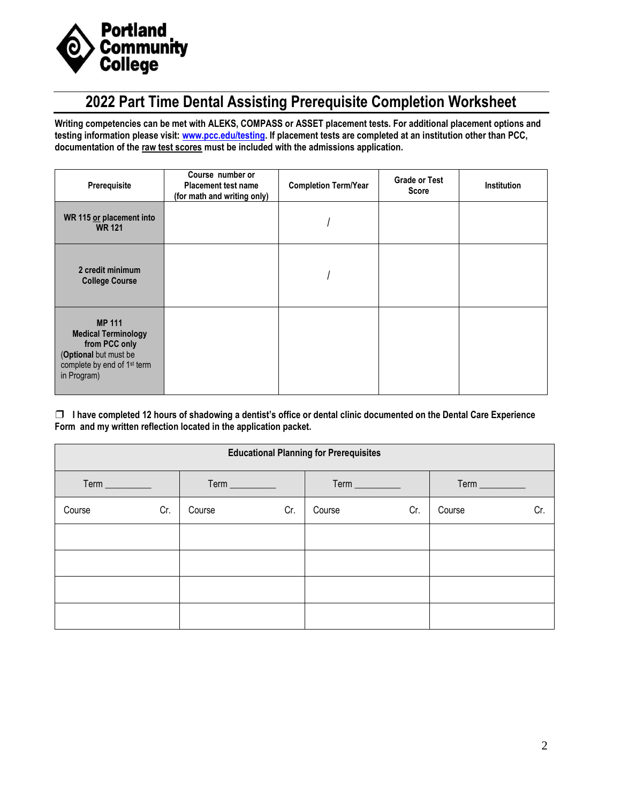

# **2022 Part Time Dental Assisting Prerequisite Completion Worksheet**

**Writing competencies can be met with ALEKS, COMPASS or ASSET placement tests. For additional placement options and testing information please visit: [www.pcc.edu/testing.](http://www.pcc.edu/testing) If placement tests are completed at an institution other than PCC, documentation of the raw test scores must be included with the admissions application.** 

| Prerequisite                                                                                                                                    | Course number or<br><b>Placement test name</b><br>(for math and writing only) | <b>Completion Term/Year</b> | <b>Grade or Test</b><br><b>Score</b> | <b>Institution</b> |
|-------------------------------------------------------------------------------------------------------------------------------------------------|-------------------------------------------------------------------------------|-----------------------------|--------------------------------------|--------------------|
| WR 115 or placement into<br><b>WR 121</b>                                                                                                       |                                                                               |                             |                                      |                    |
| 2 credit minimum<br><b>College Course</b>                                                                                                       |                                                                               |                             |                                      |                    |
| <b>MP 111</b><br><b>Medical Terminology</b><br>from PCC only<br>(Optional but must be<br>complete by end of 1 <sup>st</sup> term<br>in Program) |                                                                               |                             |                                      |                    |

❒ **I have completed 12 hours of shadowing a dentist's office or dental clinic documented on the Dental Care Experience Form and my written reflection located in the application packet.**

| <b>Educational Planning for Prerequisites</b> |     |        |     |        |                |        |                               |  |  |  |
|-----------------------------------------------|-----|--------|-----|--------|----------------|--------|-------------------------------|--|--|--|
|                                               |     |        |     |        | Term _________ |        | $Term$ <sub>___________</sub> |  |  |  |
| Course                                        | Cr. | Course | Cr. | Course | Cr.            | Course | Cr.                           |  |  |  |
|                                               |     |        |     |        |                |        |                               |  |  |  |
|                                               |     |        |     |        |                |        |                               |  |  |  |
|                                               |     |        |     |        |                |        |                               |  |  |  |
|                                               |     |        |     |        |                |        |                               |  |  |  |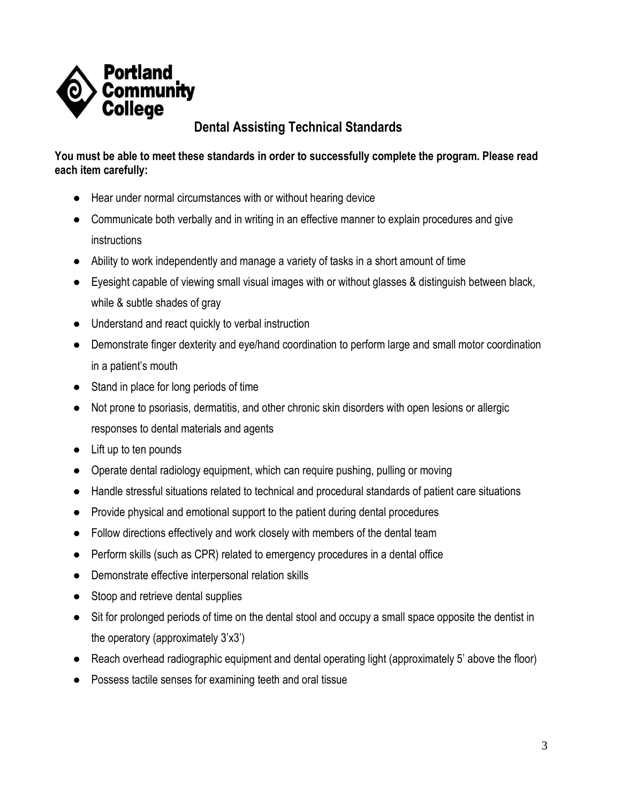

# **Dental Assisting Technical Standards**

## **You must be able to meet these standards in order to successfully complete the program. Please read each item carefully:**

- Hear under normal circumstances with or without hearing device
- Communicate both verbally and in writing in an effective manner to explain procedures and give instructions
- Ability to work independently and manage a variety of tasks in a short amount of time
- Eyesight capable of viewing small visual images with or without glasses & distinguish between black, while & subtle shades of gray
- Understand and react quickly to verbal instruction
- Demonstrate finger dexterity and eye/hand coordination to perform large and small motor coordination in a patient's mouth
- Stand in place for long periods of time
- Not prone to psoriasis, dermatitis, and other chronic skin disorders with open lesions or allergic responses to dental materials and agents
- Lift up to ten pounds
- Operate dental radiology equipment, which can require pushing, pulling or moving
- Handle stressful situations related to technical and procedural standards of patient care situations
- Provide physical and emotional support to the patient during dental procedures
- Follow directions effectively and work closely with members of the dental team
- Perform skills (such as CPR) related to emergency procedures in a dental office
- Demonstrate effective interpersonal relation skills
- Stoop and retrieve dental supplies
- Sit for prolonged periods of time on the dental stool and occupy a small space opposite the dentist in the operatory (approximately 3'x3')
- Reach overhead radiographic equipment and dental operating light (approximately 5' above the floor)
- Possess tactile senses for examining teeth and oral tissue